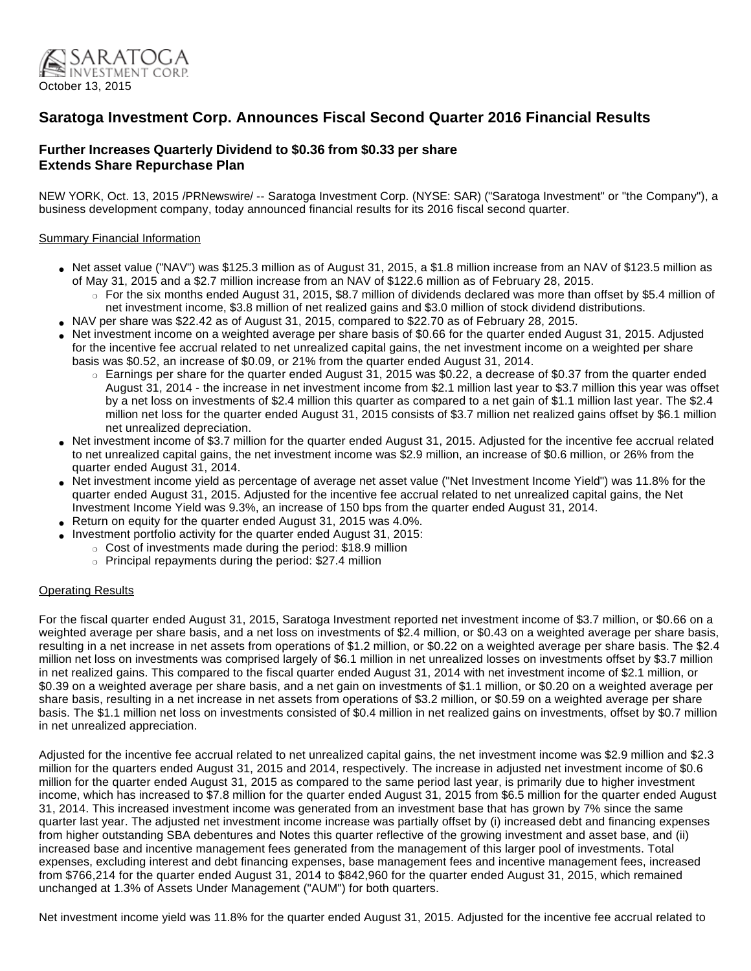

# **Saratoga Investment Corp. Announces Fiscal Second Quarter 2016 Financial Results**

# **Further Increases Quarterly Dividend to \$0.36 from \$0.33 per share Extends Share Repurchase Plan**

NEW YORK, Oct. 13, 2015 /PRNewswire/ -- Saratoga Investment Corp. (NYSE: SAR) ("Saratoga Investment" or "the Company"), a business development company, today announced financial results for its 2016 fiscal second quarter.

### Summary Financial Information

- Net asset value ("NAV") was \$125.3 million as of August 31, 2015, a \$1.8 million increase from an NAV of \$123.5 million as of May 31, 2015 and a \$2.7 million increase from an NAV of \$122.6 million as of February 28, 2015.
	- $\circ$  For the six months ended August 31, 2015, \$8.7 million of dividends declared was more than offset by \$5.4 million of net investment income, \$3.8 million of net realized gains and \$3.0 million of stock dividend distributions.
- NAV per share was \$22.42 as of August 31, 2015, compared to \$22.70 as of February 28, 2015.
- Net investment income on a weighted average per share basis of \$0.66 for the quarter ended August 31, 2015. Adjusted for the incentive fee accrual related to net unrealized capital gains, the net investment income on a weighted per share basis was \$0.52, an increase of \$0.09, or 21% from the quarter ended August 31, 2014.
	- ❍ Earnings per share for the quarter ended August 31, 2015 was \$0.22, a decrease of \$0.37 from the quarter ended August 31, 2014 - the increase in net investment income from \$2.1 million last year to \$3.7 million this year was offset by a net loss on investments of \$2.4 million this quarter as compared to a net gain of \$1.1 million last year. The \$2.4 million net loss for the quarter ended August 31, 2015 consists of \$3.7 million net realized gains offset by \$6.1 million net unrealized depreciation.
- Net investment income of \$3.7 million for the quarter ended August 31, 2015. Adjusted for the incentive fee accrual related to net unrealized capital gains, the net investment income was \$2.9 million, an increase of \$0.6 million, or 26% from the quarter ended August 31, 2014.
- Net investment income yield as percentage of average net asset value ("Net Investment Income Yield") was 11.8% for the quarter ended August 31, 2015. Adjusted for the incentive fee accrual related to net unrealized capital gains, the Net Investment Income Yield was 9.3%, an increase of 150 bps from the quarter ended August 31, 2014.
- Return on equity for the quarter ended August 31, 2015 was 4.0%.
- Investment portfolio activity for the quarter ended August 31, 2015:
	- ❍ Cost of investments made during the period: \$18.9 million
		- ❍ Principal repayments during the period: \$27.4 million

# Operating Results

For the fiscal quarter ended August 31, 2015, Saratoga Investment reported net investment income of \$3.7 million, or \$0.66 on a weighted average per share basis, and a net loss on investments of \$2.4 million, or \$0.43 on a weighted average per share basis, resulting in a net increase in net assets from operations of \$1.2 million, or \$0.22 on a weighted average per share basis. The \$2.4 million net loss on investments was comprised largely of \$6.1 million in net unrealized losses on investments offset by \$3.7 million in net realized gains. This compared to the fiscal quarter ended August 31, 2014 with net investment income of \$2.1 million, or \$0.39 on a weighted average per share basis, and a net gain on investments of \$1.1 million, or \$0.20 on a weighted average per share basis, resulting in a net increase in net assets from operations of \$3.2 million, or \$0.59 on a weighted average per share basis. The \$1.1 million net loss on investments consisted of \$0.4 million in net realized gains on investments, offset by \$0.7 million in net unrealized appreciation.

Adjusted for the incentive fee accrual related to net unrealized capital gains, the net investment income was \$2.9 million and \$2.3 million for the quarters ended August 31, 2015 and 2014, respectively. The increase in adjusted net investment income of \$0.6 million for the quarter ended August 31, 2015 as compared to the same period last year, is primarily due to higher investment income, which has increased to \$7.8 million for the quarter ended August 31, 2015 from \$6.5 million for the quarter ended August 31, 2014. This increased investment income was generated from an investment base that has grown by 7% since the same quarter last year. The adjusted net investment income increase was partially offset by (i) increased debt and financing expenses from higher outstanding SBA debentures and Notes this quarter reflective of the growing investment and asset base, and (ii) increased base and incentive management fees generated from the management of this larger pool of investments. Total expenses, excluding interest and debt financing expenses, base management fees and incentive management fees, increased from \$766,214 for the quarter ended August 31, 2014 to \$842,960 for the quarter ended August 31, 2015, which remained unchanged at 1.3% of Assets Under Management ("AUM") for both quarters.

Net investment income yield was 11.8% for the quarter ended August 31, 2015. Adjusted for the incentive fee accrual related to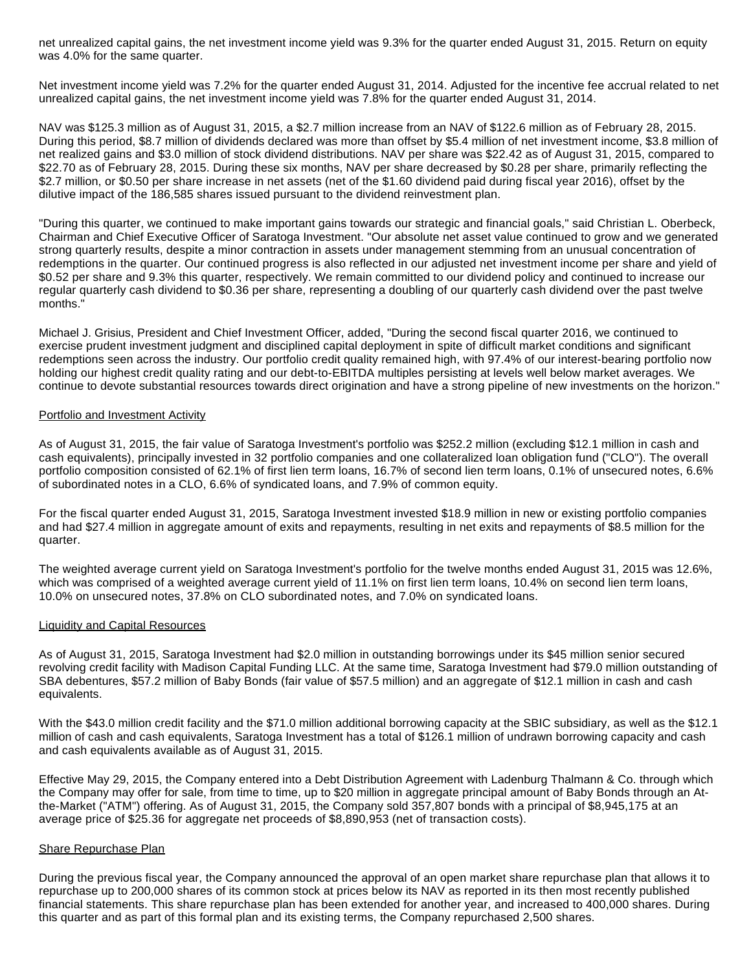net unrealized capital gains, the net investment income yield was 9.3% for the quarter ended August 31, 2015. Return on equity was 4.0% for the same quarter.

Net investment income yield was 7.2% for the quarter ended August 31, 2014. Adjusted for the incentive fee accrual related to net unrealized capital gains, the net investment income yield was 7.8% for the quarter ended August 31, 2014.

NAV was \$125.3 million as of August 31, 2015, a \$2.7 million increase from an NAV of \$122.6 million as of February 28, 2015. During this period, \$8.7 million of dividends declared was more than offset by \$5.4 million of net investment income, \$3.8 million of net realized gains and \$3.0 million of stock dividend distributions. NAV per share was \$22.42 as of August 31, 2015, compared to \$22.70 as of February 28, 2015. During these six months, NAV per share decreased by \$0.28 per share, primarily reflecting the \$2.7 million, or \$0.50 per share increase in net assets (net of the \$1.60 dividend paid during fiscal year 2016), offset by the dilutive impact of the 186,585 shares issued pursuant to the dividend reinvestment plan.

"During this quarter, we continued to make important gains towards our strategic and financial goals," said Christian L. Oberbeck, Chairman and Chief Executive Officer of Saratoga Investment. "Our absolute net asset value continued to grow and we generated strong quarterly results, despite a minor contraction in assets under management stemming from an unusual concentration of redemptions in the quarter. Our continued progress is also reflected in our adjusted net investment income per share and yield of \$0.52 per share and 9.3% this quarter, respectively. We remain committed to our dividend policy and continued to increase our regular quarterly cash dividend to \$0.36 per share, representing a doubling of our quarterly cash dividend over the past twelve months."

Michael J. Grisius, President and Chief Investment Officer, added, "During the second fiscal quarter 2016, we continued to exercise prudent investment judgment and disciplined capital deployment in spite of difficult market conditions and significant redemptions seen across the industry. Our portfolio credit quality remained high, with 97.4% of our interest-bearing portfolio now holding our highest credit quality rating and our debt-to-EBITDA multiples persisting at levels well below market averages. We continue to devote substantial resources towards direct origination and have a strong pipeline of new investments on the horizon."

#### Portfolio and Investment Activity

As of August 31, 2015, the fair value of Saratoga Investment's portfolio was \$252.2 million (excluding \$12.1 million in cash and cash equivalents), principally invested in 32 portfolio companies and one collateralized loan obligation fund ("CLO"). The overall portfolio composition consisted of 62.1% of first lien term loans, 16.7% of second lien term loans, 0.1% of unsecured notes, 6.6% of subordinated notes in a CLO, 6.6% of syndicated loans, and 7.9% of common equity.

For the fiscal quarter ended August 31, 2015, Saratoga Investment invested \$18.9 million in new or existing portfolio companies and had \$27.4 million in aggregate amount of exits and repayments, resulting in net exits and repayments of \$8.5 million for the quarter.

The weighted average current yield on Saratoga Investment's portfolio for the twelve months ended August 31, 2015 was 12.6%, which was comprised of a weighted average current yield of 11.1% on first lien term loans, 10.4% on second lien term loans, 10.0% on unsecured notes, 37.8% on CLO subordinated notes, and 7.0% on syndicated loans.

#### Liquidity and Capital Resources

As of August 31, 2015, Saratoga Investment had \$2.0 million in outstanding borrowings under its \$45 million senior secured revolving credit facility with Madison Capital Funding LLC. At the same time, Saratoga Investment had \$79.0 million outstanding of SBA debentures, \$57.2 million of Baby Bonds (fair value of \$57.5 million) and an aggregate of \$12.1 million in cash and cash equivalents.

With the \$43.0 million credit facility and the \$71.0 million additional borrowing capacity at the SBIC subsidiary, as well as the \$12.1 million of cash and cash equivalents, Saratoga Investment has a total of \$126.1 million of undrawn borrowing capacity and cash and cash equivalents available as of August 31, 2015.

Effective May 29, 2015, the Company entered into a Debt Distribution Agreement with Ladenburg Thalmann & Co. through which the Company may offer for sale, from time to time, up to \$20 million in aggregate principal amount of Baby Bonds through an Atthe-Market ("ATM") offering. As of August 31, 2015, the Company sold 357,807 bonds with a principal of \$8,945,175 at an average price of \$25.36 for aggregate net proceeds of \$8,890,953 (net of transaction costs).

#### Share Repurchase Plan

During the previous fiscal year, the Company announced the approval of an open market share repurchase plan that allows it to repurchase up to 200,000 shares of its common stock at prices below its NAV as reported in its then most recently published financial statements. This share repurchase plan has been extended for another year, and increased to 400,000 shares. During this quarter and as part of this formal plan and its existing terms, the Company repurchased 2,500 shares.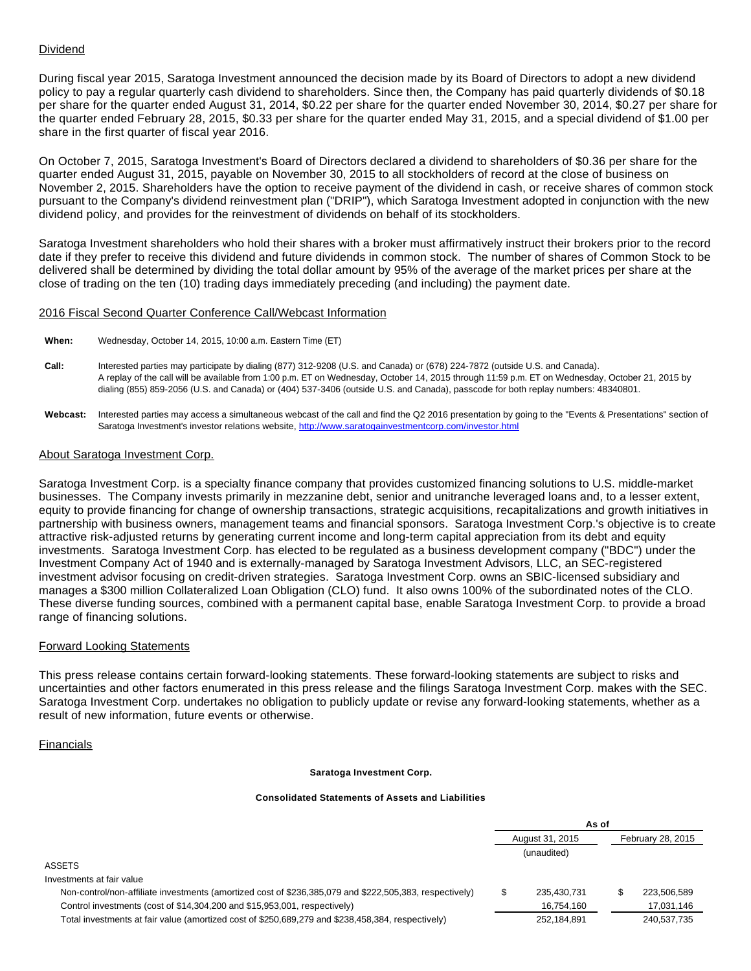# Dividend

During fiscal year 2015, Saratoga Investment announced the decision made by its Board of Directors to adopt a new dividend policy to pay a regular quarterly cash dividend to shareholders. Since then, the Company has paid quarterly dividends of \$0.18 per share for the quarter ended August 31, 2014, \$0.22 per share for the quarter ended November 30, 2014, \$0.27 per share for the quarter ended February 28, 2015, \$0.33 per share for the quarter ended May 31, 2015, and a special dividend of \$1.00 per share in the first quarter of fiscal year 2016.

On October 7, 2015, Saratoga Investment's Board of Directors declared a dividend to shareholders of \$0.36 per share for the quarter ended August 31, 2015, payable on November 30, 2015 to all stockholders of record at the close of business on November 2, 2015. Shareholders have the option to receive payment of the dividend in cash, or receive shares of common stock pursuant to the Company's dividend reinvestment plan ("DRIP"), which Saratoga Investment adopted in conjunction with the new dividend policy, and provides for the reinvestment of dividends on behalf of its stockholders.

Saratoga Investment shareholders who hold their shares with a broker must affirmatively instruct their brokers prior to the record date if they prefer to receive this dividend and future dividends in common stock. The number of shares of Common Stock to be delivered shall be determined by dividing the total dollar amount by 95% of the average of the market prices per share at the close of trading on the ten (10) trading days immediately preceding (and including) the payment date.

#### 2016 Fiscal Second Quarter Conference Call/Webcast Information

**When:** Wednesday, October 14, 2015, 10:00 a.m. Eastern Time (ET)

- **Call:** Interested parties may participate by dialing (877) 312-9208 (U.S. and Canada) or (678) 224-7872 (outside U.S. and Canada). A replay of the call will be available from 1:00 p.m. ET on Wednesday, October 14, 2015 through 11:59 p.m. ET on Wednesday, October 21, 2015 by dialing (855) 859-2056 (U.S. and Canada) or (404) 537-3406 (outside U.S. and Canada), passcode for both replay numbers: 48340801.
- Webcast: Interested parties may access a simultaneous webcast of the call and find the Q2 2016 presentation by going to the "Events & Presentations" section of Saratoga Investment's investor relations website, <http://www.saratogainvestmentcorp.com/investor.html>

#### About Saratoga Investment Corp.

Saratoga Investment Corp. is a specialty finance company that provides customized financing solutions to U.S. middle-market businesses. The Company invests primarily in mezzanine debt, senior and unitranche leveraged loans and, to a lesser extent, equity to provide financing for change of ownership transactions, strategic acquisitions, recapitalizations and growth initiatives in partnership with business owners, management teams and financial sponsors. Saratoga Investment Corp.'s objective is to create attractive risk-adjusted returns by generating current income and long-term capital appreciation from its debt and equity investments. Saratoga Investment Corp. has elected to be regulated as a business development company ("BDC") under the Investment Company Act of 1940 and is externally-managed by Saratoga Investment Advisors, LLC, an SEC-registered investment advisor focusing on credit-driven strategies. Saratoga Investment Corp. owns an SBIC-licensed subsidiary and manages a \$300 million Collateralized Loan Obligation (CLO) fund. It also owns 100% of the subordinated notes of the CLO. These diverse funding sources, combined with a permanent capital base, enable Saratoga Investment Corp. to provide a broad range of financing solutions.

#### Forward Looking Statements

This press release contains certain forward-looking statements. These forward-looking statements are subject to risks and uncertainties and other factors enumerated in this press release and the filings Saratoga Investment Corp. makes with the SEC. Saratoga Investment Corp. undertakes no obligation to publicly update or revise any forward-looking statements, whether as a result of new information, future events or otherwise.

#### Financials

#### **Saratoga Investment Corp.**

#### **Consolidated Statements of Assets and Liabilities**

| As of           |             |                   |             |
|-----------------|-------------|-------------------|-------------|
| August 31, 2015 |             | February 28, 2015 |             |
|                 | (unaudited) |                   |             |
|                 |             |                   |             |
|                 |             |                   |             |
| \$              | 235,430,731 |                   | 223.506.589 |
|                 | 16,754,160  |                   | 17,031,146  |
|                 | 252,184,891 |                   | 240,537,735 |
|                 |             |                   |             |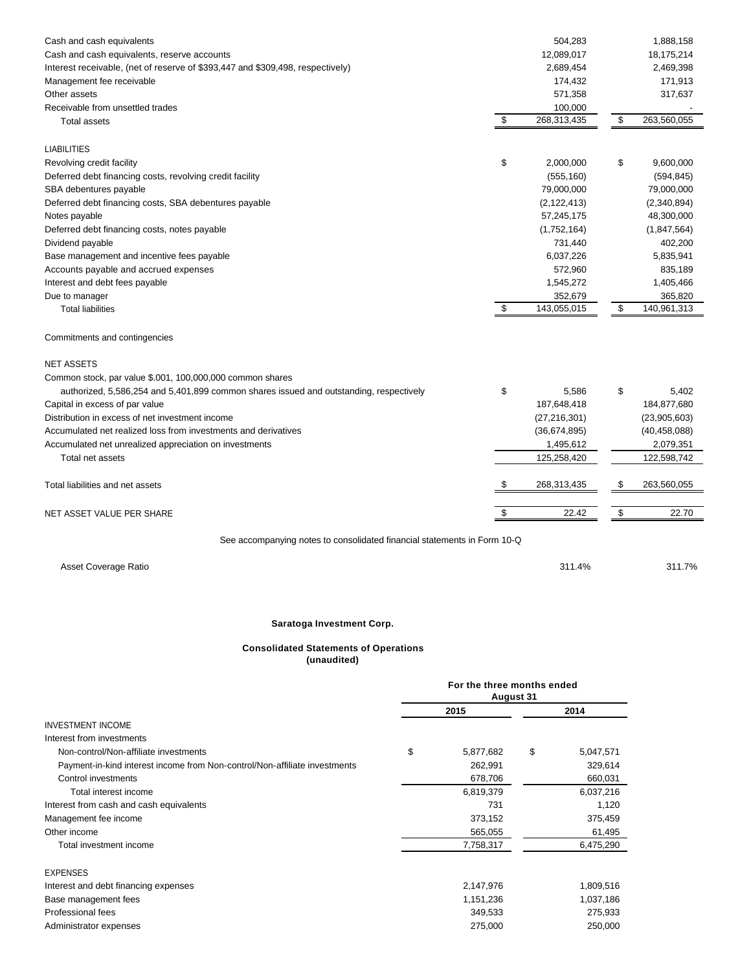| Cash and cash equivalents                                                              | 504,283           | 1,888,158         |
|----------------------------------------------------------------------------------------|-------------------|-------------------|
| Cash and cash equivalents, reserve accounts                                            | 12,089,017        | 18,175,214        |
| Interest receivable, (net of reserve of \$393,447 and \$309,498, respectively)         | 2,689,454         | 2,469,398         |
| Management fee receivable                                                              | 174,432           | 171,913           |
| Other assets                                                                           | 571,358           | 317,637           |
| Receivable from unsettled trades                                                       | 100,000           |                   |
| Total assets                                                                           | \$<br>268,313,435 | \$<br>263,560,055 |
| <b>LIABILITIES</b>                                                                     |                   |                   |
| Revolving credit facility                                                              | \$<br>2,000,000   | \$<br>9,600,000   |
| Deferred debt financing costs, revolving credit facility                               | (555, 160)        | (594, 845)        |
| SBA debentures payable                                                                 | 79,000,000        | 79,000,000        |
| Deferred debt financing costs, SBA debentures payable                                  | (2, 122, 413)     | (2,340,894)       |
| Notes payable                                                                          | 57,245,175        | 48,300,000        |
| Deferred debt financing costs, notes payable                                           | (1,752,164)       | (1, 847, 564)     |
| Dividend payable                                                                       | 731,440           | 402,200           |
| Base management and incentive fees payable                                             | 6,037,226         | 5,835,941         |
| Accounts payable and accrued expenses                                                  | 572,960           | 835,189           |
| Interest and debt fees payable                                                         | 1,545,272         | 1,405,466         |
| Due to manager                                                                         | 352,679           | 365,820           |
| <b>Total liabilities</b>                                                               | \$<br>143,055,015 | \$<br>140,961,313 |
| Commitments and contingencies                                                          |                   |                   |
| <b>NET ASSETS</b>                                                                      |                   |                   |
| Common stock, par value \$.001, 100,000,000 common shares                              |                   |                   |
| authorized, 5,586,254 and 5,401,899 common shares issued and outstanding, respectively | \$<br>5,586       | \$<br>5,402       |
| Capital in excess of par value                                                         | 187,648,418       | 184,877,680       |
| Distribution in excess of net investment income                                        | (27, 216, 301)    | (23,905,603)      |
| Accumulated net realized loss from investments and derivatives                         | (36,674,895)      | (40, 458, 088)    |
| Accumulated net unrealized appreciation on investments                                 | 1,495,612         | 2,079,351         |
| Total net assets                                                                       | 125,258,420       | 122,598,742       |
| Total liabilities and net assets                                                       | \$<br>268,313,435 | \$<br>263,560,055 |
| NET ASSET VALUE PER SHARE                                                              | \$<br>22.42       | \$<br>22.70       |
| See accompanying notes to consolidated financial statements in Form 10-Q               |                   |                   |
| Asset Coverage Ratio                                                                   | 311.4%            | 311.7%            |
|                                                                                        |                   |                   |

# **Saratoga Investment Corp.**

# **(unaudited)**

|                                                                            | For the three months ended<br>August 31 |      |           |  |
|----------------------------------------------------------------------------|-----------------------------------------|------|-----------|--|
|                                                                            | 2015                                    | 2014 |           |  |
| <b>INVESTMENT INCOME</b>                                                   |                                         |      |           |  |
| Interest from investments                                                  |                                         |      |           |  |
| Non-control/Non-affiliate investments                                      | \$<br>5,877,682                         | \$   | 5,047,571 |  |
| Payment-in-kind interest income from Non-control/Non-affiliate investments | 262,991                                 |      | 329,614   |  |
| Control investments                                                        | 678,706                                 |      | 660,031   |  |
| Total interest income                                                      | 6,819,379                               |      | 6,037,216 |  |
| Interest from cash and cash equivalents                                    | 731                                     |      | 1,120     |  |
| Management fee income                                                      | 373,152                                 |      | 375,459   |  |
| Other income                                                               | 565,055                                 |      | 61,495    |  |
| Total investment income                                                    | 7,758,317                               |      | 6,475,290 |  |
| <b>EXPENSES</b>                                                            |                                         |      |           |  |
| Interest and debt financing expenses                                       | 2,147,976                               |      | 1,809,516 |  |
| Base management fees                                                       | 1,151,236                               |      | 1,037,186 |  |

Professional fees 349,533 275,933 Administrator expenses 275,000 250,000 250,000

**Consolidated Statements of Operations**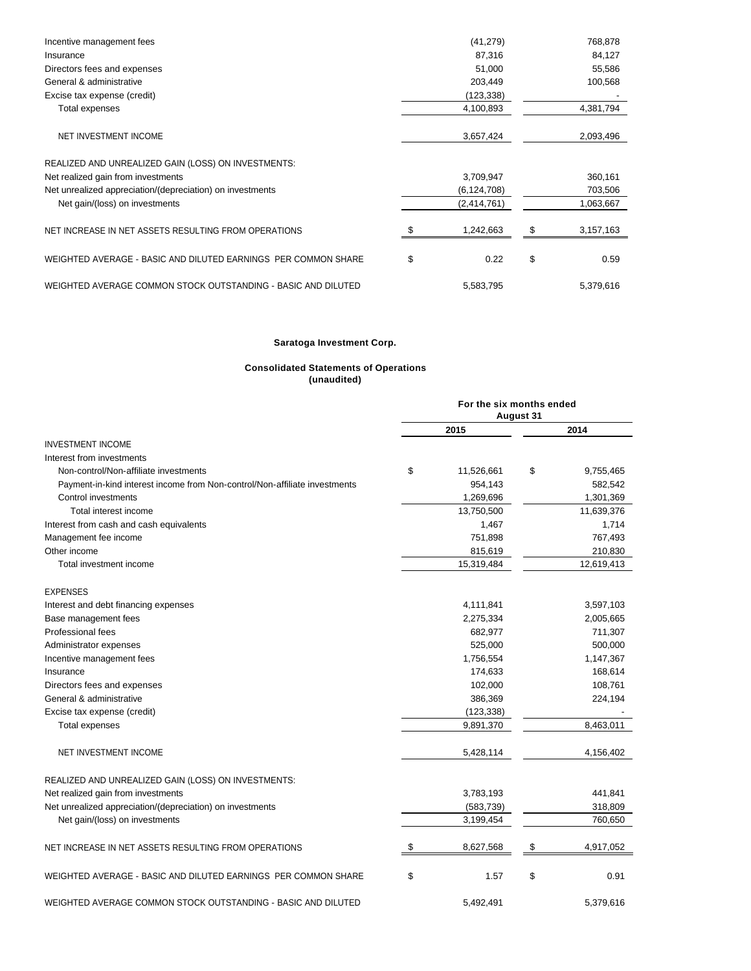| Incentive management fees                                      | (41, 279)     | 768,878    |
|----------------------------------------------------------------|---------------|------------|
| Insurance                                                      | 87,316        | 84,127     |
| Directors fees and expenses                                    | 51,000        | 55,586     |
| General & administrative                                       | 203,449       | 100,568    |
| Excise tax expense (credit)                                    | (123, 338)    |            |
| Total expenses                                                 | 4,100,893     | 4,381,794  |
| NET INVESTMENT INCOME                                          | 3,657,424     | 2,093,496  |
| REALIZED AND UNREALIZED GAIN (LOSS) ON INVESTMENTS:            |               |            |
| Net realized gain from investments                             | 3,709,947     | 360,161    |
| Net unrealized appreciation/(depreciation) on investments      | (6, 124, 708) | 703,506    |
| Net gain/(loss) on investments                                 | (2,414,761)   | 1,063,667  |
| NET INCREASE IN NET ASSETS RESULTING FROM OPERATIONS           | 1,242,663     | 3,157,163  |
| WEIGHTED AVERAGE - BASIC AND DILUTED EARNINGS PER COMMON SHARE | \$<br>0.22    | \$<br>0.59 |
| WEIGHTED AVERAGE COMMON STOCK OUTSTANDING - BASIC AND DILUTED  | 5,583,795     | 5,379,616  |

## **Saratoga Investment Corp.**

#### **Consolidated Statements of Operations (unaudited)**

|                                                                            | For the six months ended<br><b>August 31</b> |            |    |            |
|----------------------------------------------------------------------------|----------------------------------------------|------------|----|------------|
|                                                                            |                                              | 2015       |    | 2014       |
| <b>INVESTMENT INCOME</b>                                                   |                                              |            |    |            |
| Interest from investments                                                  |                                              |            |    |            |
| Non-control/Non-affiliate investments                                      | \$                                           | 11,526,661 | \$ | 9,755,465  |
| Payment-in-kind interest income from Non-control/Non-affiliate investments |                                              | 954,143    |    | 582,542    |
| Control investments                                                        |                                              | 1,269,696  |    | 1,301,369  |
| Total interest income                                                      |                                              | 13,750,500 |    | 11,639,376 |
| Interest from cash and cash equivalents                                    |                                              | 1,467      |    | 1,714      |
| Management fee income                                                      |                                              | 751,898    |    | 767,493    |
| Other income                                                               |                                              | 815,619    |    | 210,830    |
| Total investment income                                                    |                                              | 15,319,484 |    | 12,619,413 |
| <b>EXPENSES</b>                                                            |                                              |            |    |            |
| Interest and debt financing expenses                                       |                                              | 4,111,841  |    | 3,597,103  |
| Base management fees                                                       |                                              | 2,275,334  |    | 2,005,665  |
| Professional fees                                                          |                                              | 682,977    |    | 711,307    |
| Administrator expenses                                                     |                                              | 525,000    |    | 500,000    |
| Incentive management fees                                                  |                                              | 1,756,554  |    | 1,147,367  |
| Insurance                                                                  |                                              | 174,633    |    | 168,614    |
| Directors fees and expenses                                                |                                              | 102,000    |    | 108,761    |
| General & administrative                                                   |                                              | 386,369    |    | 224,194    |
| Excise tax expense (credit)                                                |                                              | (123, 338) |    |            |
| <b>Total expenses</b>                                                      |                                              | 9,891,370  |    | 8,463,011  |
| NET INVESTMENT INCOME                                                      |                                              | 5,428,114  |    | 4,156,402  |
| REALIZED AND UNREALIZED GAIN (LOSS) ON INVESTMENTS:                        |                                              |            |    |            |
| Net realized gain from investments                                         |                                              | 3,783,193  |    | 441,841    |
| Net unrealized appreciation/(depreciation) on investments                  |                                              | (583, 739) |    | 318,809    |
| Net gain/(loss) on investments                                             |                                              | 3,199,454  |    | 760,650    |
| NET INCREASE IN NET ASSETS RESULTING FROM OPERATIONS                       | S                                            | 8,627,568  | \$ | 4,917,052  |
| WEIGHTED AVERAGE - BASIC AND DILUTED EARNINGS PER COMMON SHARE             | \$                                           | 1.57       | \$ | 0.91       |
| WEIGHTED AVERAGE COMMON STOCK OUTSTANDING - BASIC AND DILUTED              |                                              | 5,492,491  |    | 5,379,616  |